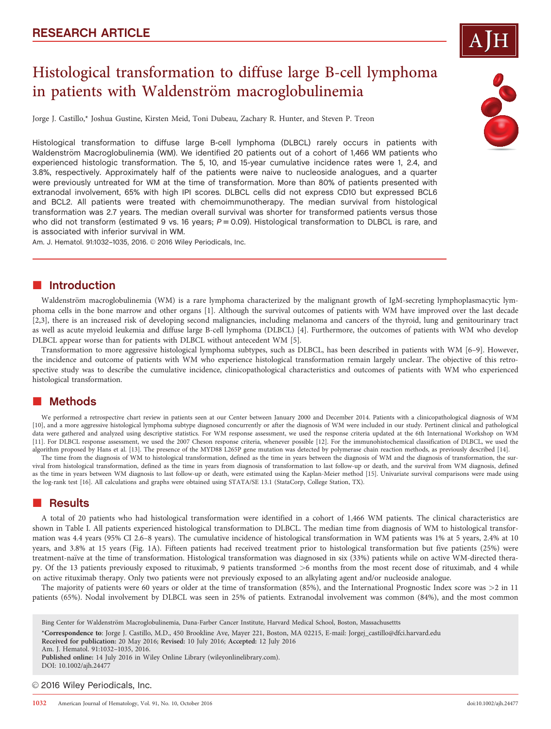

# Histological transformation to diffuse large B-cell lymphoma in patients with Waldenström macroglobulinemia

Jorge J. Castillo,\* Joshua Gustine, Kirsten Meid, Toni Dubeau, Zachary R. Hunter, and Steven P. Treon

Histological transformation to diffuse large B-cell lymphoma (DLBCL) rarely occurs in patients with Waldenström Macroglobulinemia (WM). We identified 20 patients out of a cohort of 1,466 WM patients who experienced histologic transformation. The 5, 10, and 15-year cumulative incidence rates were 1, 2.4, and 3.8%, respectively. Approximately half of the patients were naive to nucleoside analogues, and a quarter were previously untreated for WM at the time of transformation. More than 80% of patients presented with extranodal involvement, 65% with high IPI scores. DLBCL cells did not express CD10 but expressed BCL6 and BCL2. All patients were treated with chemoimmunotherapy. The median survival from histological transformation was 2.7 years. The median overall survival was shorter for transformed patients versus those who did not transform (estimated 9 vs. 16 years;  $P = 0.09$ ). Histological transformation to DLBCL is rare, and is associated with inferior survival in WM.

Am. J. Hematol. 91:1032-1035, 2016. 2016 Wiley Periodicals, Inc.

### **n** Introduction

Waldenström macroglobulinemia (WM) is a rare lymphoma characterized by the malignant growth of IgM-secreting lymphoplasmacytic lymphoma cells in the bone marrow and other organs [1]. Although the survival outcomes of patients with WM have improved over the last decade [2,3], there is an increased risk of developing second malignancies, including melanoma and cancers of the thyroid, lung and genitourinary tract as well as acute myeloid leukemia and diffuse large B-cell lymphoma (DLBCL) [4]. Furthermore, the outcomes of patients with WM who develop DLBCL appear worse than for patients with DLBCL without antecedent WM [5].

Transformation to more aggressive histological lymphoma subtypes, such as DLBCL, has been described in patients with WM [6–9]. However, the incidence and outcome of patients with WM who experience histological transformation remain largely unclear. The objective of this retrospective study was to describe the cumulative incidence, clinicopathological characteristics and outcomes of patients with WM who experienced histological transformation.

# ■ Methods

We performed a retrospective chart review in patients seen at our Center between January 2000 and December 2014. Patients with a clinicopathological diagnosis of WM [10], and a more aggressive histological lymphoma subtype diagnosed concurrently or after the diagnosis of WM were included in our study. Pertinent clinical and pathological data were gathered and analyzed using descriptive statistics. For WM response assessment, we used the response criteria updated at the 6th International Workshop on WM [11]. For DLBCL response assessment, we used the 2007 Cheson response criteria, whenever possible [12]. For the immunohistochemical classification of DLBCL, we used the algorithm proposed by Hans et al. [13]. The presence of the MYD88 L265P gene mutation was detected by polymerase chain reaction methods, as previously described [14].

The time from the diagnosis of WM to histological transformation, defined as the time in years between the diagnosis of WM and the diagnosis of transformation, the survival from histological transformation, defined as the time in years from diagnosis of transformation to last follow-up or death, and the survival from WM diagnosis, defined as the time in years between WM diagnosis to last follow-up or death, were estimated using the Kaplan-Meier method [15]. Univariate survival comparisons were made using the log-rank test [16]. All calculations and graphs were obtained using STATA/SE 13.1 (StataCorp, College Station, TX).

# **Results**

A total of 20 patients who had histological transformation were identified in a cohort of 1,466 WM patients. The clinical characteristics are shown in Table I. All patients experienced histological transformation to DLBCL. The median time from diagnosis of WM to histological transformation was 4.4 years (95% CI 2.6–8 years). The cumulative incidence of histological transformation in WM patients was 1% at 5 years, 2.4% at 10 years, and 3.8% at 15 years (Fig. 1A). Fifteen patients had received treatment prior to histological transformation but five patients (25%) were treatment-naïve at the time of transformation. Histological transformation was diagnosed in six (33%) patients while on active WM-directed therapy. Of the 13 patients previously exposed to rituximab, 9 patients transformed >6 months from the most recent dose of rituximab, and 4 while on active rituximab therapy. Only two patients were not previously exposed to an alkylating agent and/or nucleoside analogue.

The majority of patients were 60 years or older at the time of transformation (85%), and the International Prognostic Index score was >2 in 11 patients (65%). Nodal involvement by DLBCL was seen in 25% of patients. Extranodal involvement was common (84%), and the most common

Bing Center for Waldenström Macroglobulinemia, Dana-Farber Cancer Institute, Harvard Medical School, Boston, Massachusettts

\*Correspondence to: Jorge J. Castillo, M.D., 450 Brookline Ave, Mayer 221, Boston, MA 02215, E-mail: Jorgej\_castillo@dfci.harvard.edu

Received for publication: 20 May 2016; Revised: 10 July 2016; Accepted: 12 July 2016

Published online: 14 July 2016 in Wiley Online Library (wileyonlinelibrary.com). DOI: 10.1002/ajh.24477

© 2016 Wiley Periodicals, Inc.



Am. J. Hematol. 91:1032–1035, 2016.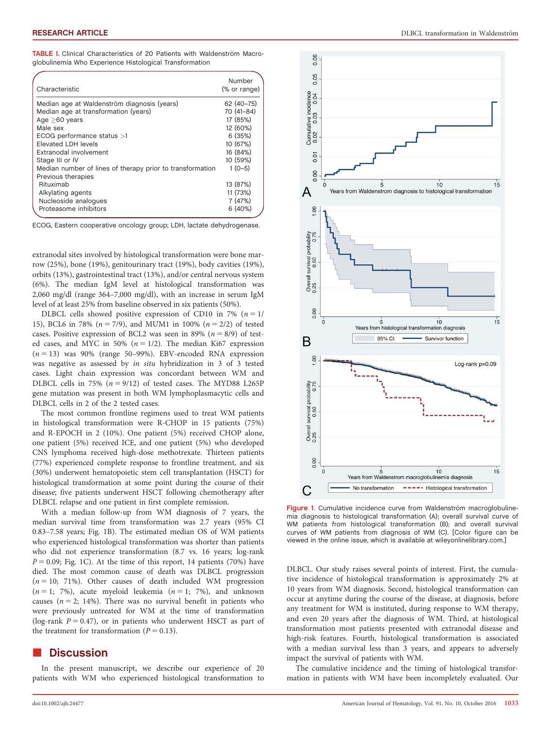TABLE I. Clinical Characteristics of 20 Patients with Waldenström Macroglobulinemia Who Experience Histological Transformation

| Characteristic                                            | Number<br>(% or range) |
|-----------------------------------------------------------|------------------------|
| Median age at Waldenström diagnosis (years)               | 62 (40-75)             |
| Median age at transformation (years)                      | 70 (41-84)             |
| Age $>60$ years                                           | 17 (85%)               |
| Male sex                                                  | 12 (60%)               |
| ECOG performance status >1                                | 6(35%)                 |
| Elevated LDH levels                                       | 10 (67%)               |
| Extranodal involvement                                    | 16 (84%)               |
| Stage III or IV                                           | 10 (59%)               |
| Median number of lines of therapy prior to transformation | $1(0-5)$               |
| Previous therapies                                        |                        |
| Rituximab                                                 | 13 (87%)               |
| Alkylating agents                                         | 11 (73%)               |
| Nucleoside analogues                                      | 7(47%)                 |
| Proteasome inhibitors                                     | 6(40%)                 |

ECOG, Eastern cooperative oncology group; LDH, lactate dehydrogenase.

extranodal sites involved by histological transformation were bone marrow (25%), bone (19%), genitourinary tract (19%), body cavities (19%), orbits (13%), gastrointestinal tract (13%), and/or central nervous system (6%). The median IgM level at histological transformation was 2,060 mg/dl (range 364–7,000 mg/dl), with an increase in serum IgM level of at least 25% from baseline observed in six patients (50%).

DLBCL cells showed positive expression of CD10 in 7% ( $n = 1/$ 15), BCL6 in 78% ( $n = 7/9$ ), and MUM1 in 100% ( $n = 2/2$ ) of tested cases. Positive expression of BCL2 was seen in 89% ( $n = 8/9$ ) of tested cases, and MYC in 50% ( $n = 1/2$ ). The median Ki67 expression  $(n = 13)$  was 90% (range 50–99%). EBV-encoded RNA expression was negative as assessed by in situ hybridization in 3 of 3 tested cases. Light chain expression was concordant between WM and DLBCL cells in 75% ( $n = 9/12$ ) of tested cases. The MYD88 L265P gene mutation was present in both WM lymphoplasmacytic cells and DLBCL cells in 2 of the 2 tested cases.

The most common frontline regimens used to treat WM patients in histological transformation were R-CHOP in 15 patients (75%) and R-EPOCH in 2 (10%). One patient (5%) received CHOP alone, one patient (5%) received ICE, and one patient (5%) who developed CNS lymphoma received high-dose methotrexate. Thirteen patients (77%) experienced complete response to frontline treatment, and six (30%) underwent hematopoietic stem cell transplantation (HSCT) for histological transformation at some point during the course of their disease; five patients underwent HSCT following chemotherapy after DLBCL relapse and one patient in first complete remission.

With a median follow-up from WM diagnosis of 7 years, the median survival time from transformation was 2.7 years (95% CI 0.83–7.58 years; Fig. 1B). The estimated median OS of WM patients who experienced histological transformation was shorter than patients who did not experience transformation (8.7 vs. 16 years; log-rank  $P = 0.09$ ; Fig. 1C). At the time of this report, 14 patients (70%) have died. The most common cause of death was DLBCL progression  $(n = 10; 71%)$ . Other causes of death included WM progression  $(n = 1; 7%)$ , acute myeloid leukemia  $(n = 1; 7%)$ , and unknown causes ( $n = 2$ ; 14%). There was no survival benefit in patients who were previously untreated for WM at the time of transformation (log-rank  $P = 0.47$ ), or in patients who underwent HSCT as part of the treatment for transformation ( $P = 0.13$ ).

#### -**Discussion**

In the present manuscript, we describe our experience of 20 patients with WM who experienced histological transformation to



0.06

Figure 1. Cumulative incidence curve from Waldenström macroglobulinemia diagnosis to histological transformation (A); overall survival curve of WM patients from histological transformation (B); and overall survival curves of WM patients from diagnosis of WM (C). [Color figure can be viewed in the online issue, which is available at [wileyonlinelibrary.com.](http://wileyonlinelibrary.com)]

DLBCL. Our study raises several points of interest. First, the cumulative incidence of histological transformation is approximately 2% at 10 years from WM diagnosis. Second, histological transformation can occur at anytime during the course of the disease, at diagnosis, before any treatment for WM is instituted, during response to WM therapy, and even 20 years after the diagnosis of WM. Third, at histological transformation most patients presented with extranodal disease and high-risk features. Fourth, histological transformation is associated with a median survival less than 3 years, and appears to adversely impact the survival of patients with WM.

The cumulative incidence and the timing of histological transformation in patients with WM have been incompletely evaluated. Our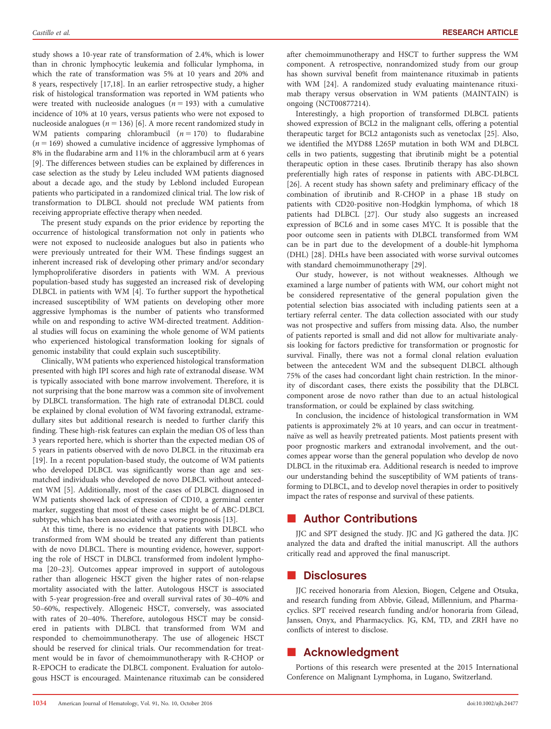study shows a 10-year rate of transformation of 2.4%, which is lower than in chronic lymphocytic leukemia and follicular lymphoma, in which the rate of transformation was 5% at 10 years and 20% and 8 years, respectively [17,18]. In an earlier retrospective study, a higher risk of histological transformation was reported in WM patients who were treated with nucleoside analogues ( $n = 193$ ) with a cumulative incidence of 10% at 10 years, versus patients who were not exposed to nucleoside analogues ( $n = 136$ ) [6]. A more recent randomized study in WM patients comparing chlorambucil  $(n = 170)$  to fludarabine  $(n = 169)$  showed a cumulative incidence of aggressive lymphomas of 8% in the fludarabine arm and 11% in the chlorambucil arm at 6 years [9]. The differences between studies can be explained by differences in case selection as the study by Leleu included WM patients diagnosed about a decade ago, and the study by Leblond included European patients who participated in a randomized clinical trial. The low risk of transformation to DLBCL should not preclude WM patients from receiving appropriate effective therapy when needed.

The present study expands on the prior evidence by reporting the occurrence of histological transformation not only in patients who were not exposed to nucleoside analogues but also in patients who were previously untreated for their WM. These findings suggest an inherent increased risk of developing other primary and/or secondary lymphoproliferative disorders in patients with WM. A previous population-based study has suggested an increased risk of developing DLBCL in patients with WM [4]. To further support the hypothetical increased susceptibility of WM patients on developing other more aggressive lymphomas is the number of patients who transformed while on and responding to active WM-directed treatment. Additional studies will focus on examining the whole genome of WM patients who experienced histological transformation looking for signals of genomic instability that could explain such susceptibility.

Clinically, WM patients who experienced histological transformation presented with high IPI scores and high rate of extranodal disease. WM is typically associated with bone marrow involvement. Therefore, it is not surprising that the bone marrow was a common site of involvement by DLBCL transformation. The high rate of extranodal DLBCL could be explained by clonal evolution of WM favoring extranodal, extramedullary sites but additional research is needed to further clarify this finding. These high-risk features can explain the median OS of less than 3 years reported here, which is shorter than the expected median OS of 5 years in patients observed with de novo DLBCL in the rituximab era [19]. In a recent population-based study, the outcome of WM patients who developed DLBCL was significantly worse than age and sexmatched individuals who developed de novo DLBCL without antecedent WM [5]. Additionally, most of the cases of DLBCL diagnosed in WM patients showed lack of expression of CD10, a germinal center marker, suggesting that most of these cases might be of ABC-DLBCL subtype, which has been associated with a worse prognosis [13].

At this time, there is no evidence that patients with DLBCL who transformed from WM should be treated any different than patients with de novo DLBCL. There is mounting evidence, however, supporting the role of HSCT in DLBCL transformed from indolent lymphoma [20–23]. Outcomes appear improved in support of autologous rather than allogeneic HSCT given the higher rates of non-relapse mortality associated with the latter. Autologous HSCT is associated with 5-year progression-free and overall survival rates of 30–40% and 50–60%, respectively. Allogeneic HSCT, conversely, was associated with rates of 20–40%. Therefore, autologous HSCT may be considered in patients with DLBCL that transformed from WM and responded to chemoimmunotherapy. The use of allogeneic HSCT should be reserved for clinical trials. Our recommendation for treatment would be in favor of chemoimmunotherapy with R-CHOP or R-EPOCH to eradicate the DLBCL component. Evaluation for autologous HSCT is encouraged. Maintenance rituximab can be considered after chemoimmunotherapy and HSCT to further suppress the WM component. A retrospective, nonrandomized study from our group has shown survival benefit from maintenance rituximab in patients with WM [24]. A randomized study evaluating maintenance rituximab therapy versus observation in WM patients (MAINTAIN) is ongoing (NCT00877214).

Interestingly, a high proportion of transformed DLBCL patients showed expression of BCL2 in the malignant cells, offering a potential therapeutic target for BCL2 antagonists such as venetoclax [25]. Also, we identified the MYD88 L265P mutation in both WM and DLBCL cells in two patients, suggesting that ibrutinib might be a potential therapeutic option in these cases. Ibrutinib therapy has also shown preferentially high rates of response in patients with ABC-DLBCL [26]. A recent study has shown safety and preliminary efficacy of the combination of ibrutinib and R-CHOP in a phase 1B study on patients with CD20-positive non-Hodgkin lymphoma, of which 18 patients had DLBCL [27]. Our study also suggests an increased expression of BCL6 and in some cases MYC. It is possible that the poor outcome seen in patients with DLBCL transformed from WM can be in part due to the development of a double-hit lymphoma (DHL) [28]. DHLs have been associated with worse survival outcomes with standard chemoimmunotherapy [29].

Our study, however, is not without weaknesses. Although we examined a large number of patients with WM, our cohort might not be considered representative of the general population given the potential selection bias associated with including patients seen at a tertiary referral center. The data collection associated with our study was not prospective and suffers from missing data. Also, the number of patients reported is small and did not allow for multivariate analysis looking for factors predictive for transformation or prognostic for survival. Finally, there was not a formal clonal relation evaluation between the antecedent WM and the subsequent DLBCL although 75% of the cases had concordant light chain restriction. In the minority of discordant cases, there exists the possibility that the DLBCL component arose de novo rather than due to an actual histological transformation, or could be explained by class switching.

In conclusion, the incidence of histological transformation in WM patients is approximately 2% at 10 years, and can occur in treatmentnaïve as well as heavily pretreated patients. Most patients present with poor prognostic markers and extranodal involvement, and the outcomes appear worse than the general population who develop de novo DLBCL in the rituximab era. Additional research is needed to improve our understanding behind the susceptibility of WM patients of transforming to DLBCL, and to develop novel therapies in order to positively impact the rates of response and survival of these patients.

# **E** Author Contributions

JJC and SPT designed the study. JJC and JG gathered the data. JJC analyzed the data and drafted the initial manuscript. All the authors critically read and approved the final manuscript.

# **n** Disclosures

JJC received honoraria from Alexion, Biogen, Celgene and Otsuka, and research funding from Abbvie, Gilead, Millennium, and Pharmacyclics. SPT received research funding and/or honoraria from Gilead, Janssen, Onyx, and Pharmacyclics. JG, KM, TD, and ZRH have no conflicts of interest to disclose.

# **E** Acknowledgment

Portions of this research were presented at the 2015 International Conference on Malignant Lymphoma, in Lugano, Switzerland.